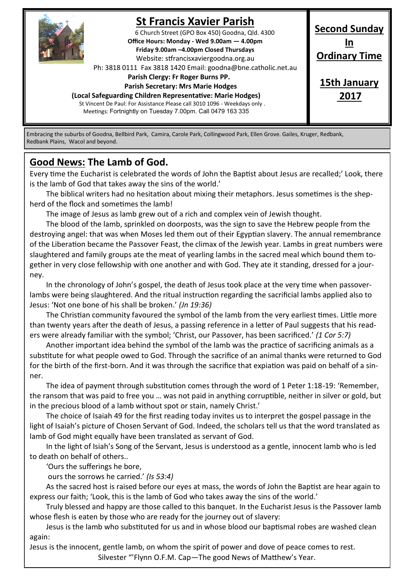

# **St Francis Xavier Parish**

6 Church Street (GPO Box 450) Goodna, Qld. 4300 **Office Hours: Monday - Wed 9.00am — 4.00pm Friday 9.00am –4.00pm Closed Thursdays**  Website: stfrancisxaviergoodna.org.au

Ph: 3818 0111 Fax 3818 1420 Email: goodna@bne.catholic.net.au

 **Parish Clergy: Fr Roger Burns PP.** 

 **Parish Secretary: Mrs Marie Hodges**

**(Local Safeguarding Children Representative: Marie Hodges)**

St Vincent De Paul: For Assistance Please call 3010 1096 - Weekdays only . Meetings: Fortnightly on Tuesday 7.00pm. Call 0479 163 335

**Second Sunday In Ordinary Time 15th January**

**2017**

Embracing the suburbs of Goodna, Bellbird Park, Camira, Carole Park, Collingwood Park, Ellen Grove. Gailes, Kruger, Redbank, Redbank Plains, Wacol and beyond.

### **Good News: The Lamb of God.**

Every time the Eucharist is celebrated the words of John the Baptist about Jesus are recalled;' Look, there is the lamb of God that takes away the sins of the world.'

The biblical writers had no hesitation about mixing their metaphors. Jesus sometimes is the shepherd of the flock and sometimes the lamb!

The image of Jesus as lamb grew out of a rich and complex vein of Jewish thought.

The blood of the lamb, sprinkled on doorposts, was the sign to save the Hebrew people from the destroying angel: that was when Moses led them out of their Egyptian slavery. The annual remembrance of the Liberation became the Passover Feast, the climax of the Jewish year. Lambs in great numbers were slaughtered and family groups ate the meat of yearling lambs in the sacred meal which bound them together in very close fellowship with one another and with God. They ate it standing, dressed for a journey.

In the chronology of John's gospel, the death of Jesus took place at the very time when passoverlambs were being slaughtered. And the ritual instruction regarding the sacrificial lambs applied also to Jesus: 'Not one bone of his shall be broken.' *(Jn 19:36)*

The Christian community favoured the symbol of the lamb from the very earliest times. Little more than twenty years after the death of Jesus, a passing reference in a letter of Paul suggests that his readers were already familiar with the symbol; 'Christ, our Passover, has been sacrificed.' *(1 Cor 5:7)*

Another important idea behind the symbol of the lamb was the practice of sacrificing animals as a substitute for what people owed to God. Through the sacrifice of an animal thanks were returned to God for the birth of the first-born. And it was through the sacrifice that expiation was paid on behalf of a sinner.

The idea of payment through substitution comes through the word of 1 Peter 1:18-19: 'Remember, the ransom that was paid to free you … was not paid in anything corruptible, neither in silver or gold, but in the precious blood of a lamb without spot or stain, namely Christ.'

The choice of Isaiah 49 for the first reading today invites us to interpret the gospel passage in the light of Isaiah's picture of Chosen Servant of God. Indeed, the scholars tell us that the word translated as lamb of God might equally have been translated as servant of God.

In the light of Isiah's Song of the Servant, Jesus is understood as a gentle, innocent lamb who is led to death on behalf of others..

'Ours the sufferings he bore,

ours the sorrows he carried.' *(Is 53:4)*

As the sacred host is raised before our eyes at mass, the words of John the Baptist are hear again to express our faith; 'Look, this is the lamb of God who takes away the sins of the world.'

Truly blessed and happy are those called to this banquet. In the Eucharist Jesus is the Passover lamb whose flesh is eaten by those who are ready for the journey out of slavery:

Jesus is the lamb who substituted for us and in whose blood our baptismal robes are washed clean again:

Jesus is the innocent, gentle lamb, on whom the spirit of power and dove of peace comes to rest.

Silvester "'Flynn O.F.M. Cap—The good News of Matthew's Year.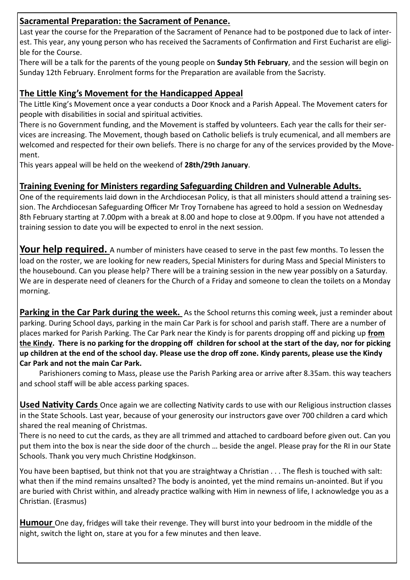#### **Sacramental Preparation: the Sacrament of Penance.**

Last year the course for the Preparation of the Sacrament of Penance had to be postponed due to lack of interest. This year, any young person who has received the Sacraments of Confirmation and First Eucharist are eligible for the Course.

There will be a talk for the parents of the young people on **Sunday 5th February**, and the session will begin on Sunday 12th February. Enrolment forms for the Preparation are available from the Sacristy.

#### **The Little King's Movement for the Handicapped Appeal**

The Little King's Movement once a year conducts a Door Knock and a Parish Appeal. The Movement caters for people with disabilities in social and spiritual activities.

There is no Government funding, and the Movement is staffed by volunteers. Each year the calls for their services are increasing. The Movement, though based on Catholic beliefs is truly ecumenical, and all members are welcomed and respected for their own beliefs. There is no charge for any of the services provided by the Movement.

This years appeal will be held on the weekend of **28th/29th January**.

#### **Training Evening for Ministers regarding Safeguarding Children and Vulnerable Adults.**

One of the requirements laid down in the Archdiocesan Policy, is that all ministers should attend a training session. The Archdiocesan Safeguarding Officer Mr Troy Tornabene has agreed to hold a session on Wednesday 8th February starting at 7.00pm with a break at 8.00 and hope to close at 9.00pm. If you have not attended a training session to date you will be expected to enrol in the next session.

**Your help required.** A number of ministers have ceased to serve in the past few months. To lessen the load on the roster, we are looking for new readers, Special Ministers for during Mass and Special Ministers to the housebound. Can you please help? There will be a training session in the new year possibly on a Saturday. We are in desperate need of cleaners for the Church of a Friday and someone to clean the toilets on a Monday morning.

**Parking in the Car Park during the week.** As the School returns this coming week, just a reminder about parking. During School days, parking in the main Car Park is for school and parish staff. There are a number of places marked for Parish Parking. The Car Park near the Kindy is for parents dropping off and picking up **from the Kindy. There is no parking for the dropping off children for school at the start of the day, nor for picking up children at the end of the school day. Please use the drop off zone. Kindy parents, please use the Kindy Car Park and not the main Car Park.**

Parishioners coming to Mass, please use the Parish Parking area or arrive after 8.35am. this way teachers and school staff will be able access parking spaces.

**Used Nativity Cards** Once again we are collecting Nativity cards to use with our Religious instruction classes in the State Schools. Last year, because of your generosity our instructors gave over 700 children a card which shared the real meaning of Christmas.

There is no need to cut the cards, as they are all trimmed and attached to cardboard before given out. Can you put them into the box is near the side door of the church … beside the angel. Please pray for the RI in our State Schools. Thank you very much Christine Hodgkinson.

You have been baptised, but think not that you are straightway a Christian . . . The flesh is touched with salt: what then if the mind remains unsalted? The body is anointed, yet the mind remains un-anointed. But if you are buried with Christ within, and already practice walking with Him in newness of life, I acknowledge you as a Christian. (Erasmus)

**Humour** One day, fridges will take their revenge. They will burst into your bedroom in the middle of the night, switch the light on, stare at you for a few minutes and then leave.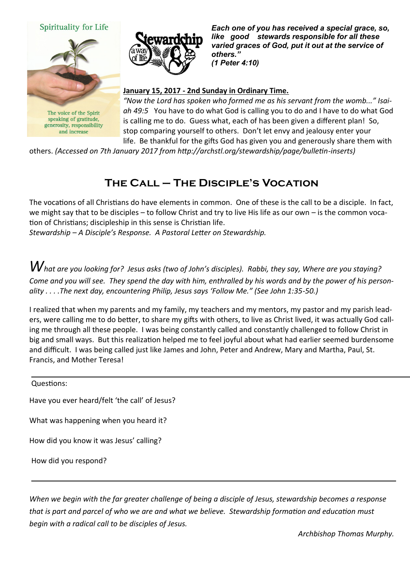



The voice of the Spirit speaking of gratitude, generosity, responsibility and increase



*Each one of you has received a special grace, so, like good stewards responsible for all these varied graces of God, put it out at the service of others." (1 Peter 4:10)* 

#### **January 15, 2017 - 2nd Sunday in Ordinary Time.**

*"Now the Lord has spoken who formed me as his servant from the womb..." Isaiah 49:5* You have to do what God is calling you to do and I have to do what God is calling me to do. Guess what, each of has been given a different plan! So, stop comparing yourself to others. Don't let envy and jealousy enter your life. Be thankful for the gifts God has given you and generously share them with

others. *(Accessed on 7th January 2017 from http://archstl.org/stewardship/page/bulletin-inserts)*

## **The Call – The Disciple's Vocation**

The vocations of all Christians do have elements in common. One of these is the call to be a disciple. In fact, we might say that to be disciples – to follow Christ and try to live His life as our own – is the common vocation of Christians; discipleship in this sense is Christian life.

*Stewardship – A Disciple's Response. A Pastoral Letter on Stewardship.*

*What are you looking for? Jesus asks (two of John's disciples). Rabbi, they say, Where are you staying? Come and you will see. They spend the day with him, enthralled by his words and by the power of his personality . . . .The next day, encountering Philip, Jesus says 'Follow Me." (See John 1:35-50.)*

I realized that when my parents and my family, my teachers and my mentors, my pastor and my parish leaders, were calling me to do better, to share my gifts with others, to live as Christ lived, it was actually God calling me through all these people. I was being constantly called and constantly challenged to follow Christ in big and small ways. But this realization helped me to feel joyful about what had earlier seemed burdensome and difficult. I was being called just like James and John, Peter and Andrew, Mary and Martha, Paul, St. Francis, and Mother Teresa!

Questions:

Have you ever heard/felt 'the call' of Jesus?

What was happening when you heard it?

How did you know it was Jesus' calling?

How did you respond?

*When we begin with the far greater challenge of being a disciple of Jesus, stewardship becomes a response that is part and parcel of who we are and what we believe. Stewardship formation and education must begin with a radical call to be disciples of Jesus.* 

*Archbishop Thomas Murphy.*